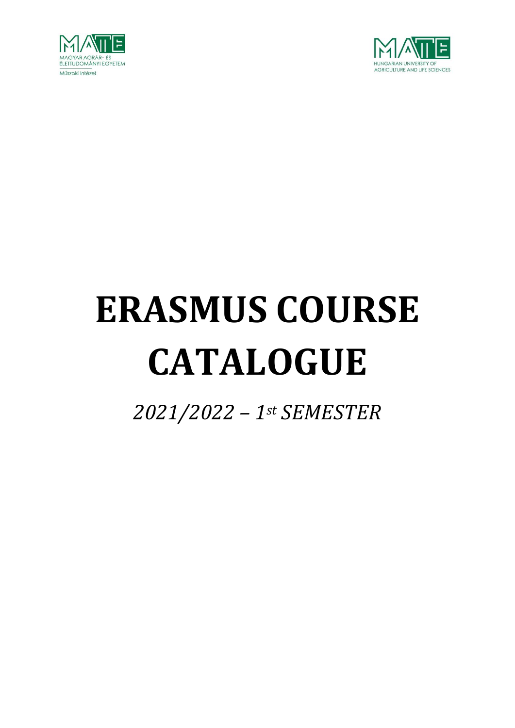



# **ERASMUS COURSE CATALOGUE**

*2021/2022 – 1st SEMESTER*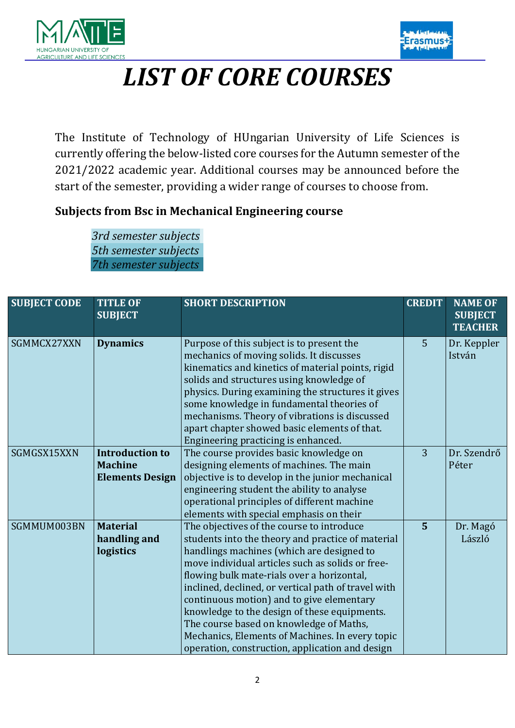



 $\overline{a}$ 

# *LIST OF CORE COURSES*

The Institute of Technology of HUngarian University of Life Sciences is currently offering the below-listed core courses for the Autumn semester of the 2021/2022 academic year. Additional courses may be announced before the start of the semester, providing a wider range of courses to choose from.

#### **Subjects from Bsc in Mechanical Engineering course**

*3rd semester subjects 5th semester subjects 7th semester subjects*

| <b>SUBJECT CODE</b> | <b>TITLE OF</b><br><b>SUBJECT</b>                                  | <b>SHORT DESCRIPTION</b>                                                                                                                                                                                                                                                                                                                                                                                                                                                                                                                           | <b>CREDIT</b>  | <b>NAME OF</b><br><b>SUBJECT</b><br><b>TEACHER</b> |
|---------------------|--------------------------------------------------------------------|----------------------------------------------------------------------------------------------------------------------------------------------------------------------------------------------------------------------------------------------------------------------------------------------------------------------------------------------------------------------------------------------------------------------------------------------------------------------------------------------------------------------------------------------------|----------------|----------------------------------------------------|
| SGMMCX27XXN         | <b>Dynamics</b>                                                    | Purpose of this subject is to present the<br>mechanics of moving solids. It discusses<br>kinematics and kinetics of material points, rigid<br>solids and structures using knowledge of<br>physics. During examining the structures it gives<br>some knowledge in fundamental theories of<br>mechanisms. Theory of vibrations is discussed<br>apart chapter showed basic elements of that.<br>Engineering practicing is enhanced.                                                                                                                   | 5              | Dr. Keppler<br>István                              |
| SGMGSX15XXN         | <b>Introduction to</b><br><b>Machine</b><br><b>Elements Design</b> | The course provides basic knowledge on<br>designing elements of machines. The main<br>objective is to develop in the junior mechanical<br>engineering student the ability to analyse<br>operational principles of different machine<br>elements with special emphasis on their                                                                                                                                                                                                                                                                     | $\overline{3}$ | Dr. Szendrő<br>Péter                               |
| SGMMUM003BN         | <b>Material</b><br>handling and<br>logistics                       | The objectives of the course to introduce<br>students into the theory and practice of material<br>handlings machines (which are designed to<br>move individual articles such as solids or free-<br>flowing bulk mate-rials over a horizontal,<br>inclined, declined, or vertical path of travel with<br>continuous motion) and to give elementary<br>knowledge to the design of these equipments.<br>The course based on knowledge of Maths,<br>Mechanics, Elements of Machines. In every topic<br>operation, construction, application and design | $\overline{5}$ | Dr. Magó<br>László                                 |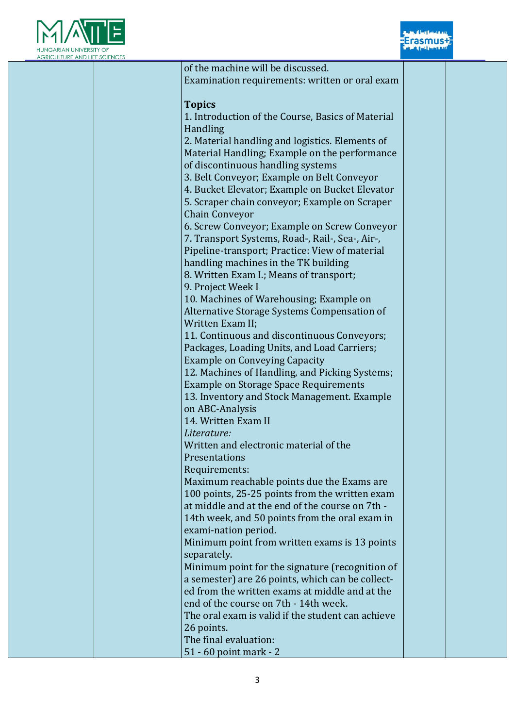



| <b>JLTURE AND LIFE SCIENCES</b> |                                                   |  |
|---------------------------------|---------------------------------------------------|--|
|                                 | of the machine will be discussed.                 |  |
|                                 | Examination requirements: written or oral exam    |  |
|                                 |                                                   |  |
|                                 | <b>Topics</b>                                     |  |
|                                 | 1. Introduction of the Course, Basics of Material |  |
|                                 | Handling                                          |  |
|                                 | 2. Material handling and logistics. Elements of   |  |
|                                 | Material Handling; Example on the performance     |  |
|                                 | of discontinuous handling systems                 |  |
|                                 |                                                   |  |
|                                 | 3. Belt Conveyor; Example on Belt Conveyor        |  |
|                                 | 4. Bucket Elevator; Example on Bucket Elevator    |  |
|                                 | 5. Scraper chain conveyor; Example on Scraper     |  |
|                                 | <b>Chain Conveyor</b>                             |  |
|                                 | 6. Screw Conveyor; Example on Screw Conveyor      |  |
|                                 | 7. Transport Systems, Road-, Rail-, Sea-, Air-,   |  |
|                                 | Pipeline-transport; Practice: View of material    |  |
|                                 | handling machines in the TK building              |  |
|                                 | 8. Written Exam I.; Means of transport;           |  |
|                                 | 9. Project Week I                                 |  |
|                                 | 10. Machines of Warehousing; Example on           |  |
|                                 | Alternative Storage Systems Compensation of       |  |
|                                 | Written Exam II;                                  |  |
|                                 | 11. Continuous and discontinuous Conveyors;       |  |
|                                 | Packages, Loading Units, and Load Carriers;       |  |
|                                 | <b>Example on Conveying Capacity</b>              |  |
|                                 | 12. Machines of Handling, and Picking Systems;    |  |
|                                 | <b>Example on Storage Space Requirements</b>      |  |
|                                 | 13. Inventory and Stock Management. Example       |  |
|                                 | on ABC-Analysis                                   |  |
|                                 | 14. Written Exam II                               |  |
|                                 |                                                   |  |
|                                 | Literature:                                       |  |
|                                 | Written and electronic material of the            |  |
|                                 | Presentations                                     |  |
|                                 | Requirements:                                     |  |
|                                 | Maximum reachable points due the Exams are        |  |
|                                 | 100 points, 25-25 points from the written exam    |  |
|                                 | at middle and at the end of the course on 7th -   |  |
|                                 | 14th week, and 50 points from the oral exam in    |  |
|                                 | exami-nation period.                              |  |
|                                 | Minimum point from written exams is 13 points     |  |
|                                 | separately.                                       |  |
|                                 | Minimum point for the signature (recognition of   |  |
|                                 | a semester) are 26 points, which can be collect-  |  |
|                                 | ed from the written exams at middle and at the    |  |
|                                 | end of the course on 7th - 14th week.             |  |
|                                 | The oral exam is valid if the student can achieve |  |
|                                 | 26 points.                                        |  |
|                                 | The final evaluation:                             |  |
|                                 | 51 - 60 point mark - 2                            |  |
|                                 |                                                   |  |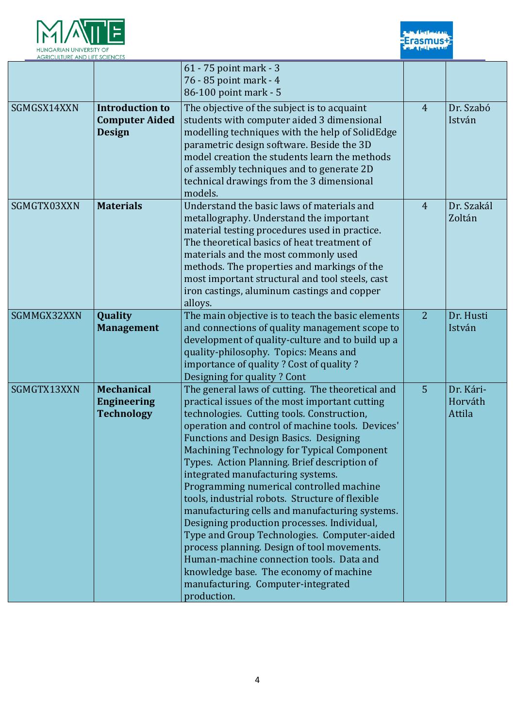



| <b>AGRICULTURE AND LIFE SCIENCES</b> |                                                                  |                                                                                                                                                                                                                                                                                                                                                                                                                                                                                                                                                                                                                                                                                                                                                                                                                                   |                |                                |
|--------------------------------------|------------------------------------------------------------------|-----------------------------------------------------------------------------------------------------------------------------------------------------------------------------------------------------------------------------------------------------------------------------------------------------------------------------------------------------------------------------------------------------------------------------------------------------------------------------------------------------------------------------------------------------------------------------------------------------------------------------------------------------------------------------------------------------------------------------------------------------------------------------------------------------------------------------------|----------------|--------------------------------|
|                                      |                                                                  | 61 - 75 point mark - 3<br>76 - 85 point mark - 4                                                                                                                                                                                                                                                                                                                                                                                                                                                                                                                                                                                                                                                                                                                                                                                  |                |                                |
|                                      |                                                                  | 86-100 point mark - 5                                                                                                                                                                                                                                                                                                                                                                                                                                                                                                                                                                                                                                                                                                                                                                                                             |                |                                |
| SGMGSX14XXN                          | <b>Introduction to</b><br><b>Computer Aided</b><br><b>Design</b> | The objective of the subject is to acquaint<br>students with computer aided 3 dimensional<br>modelling techniques with the help of SolidEdge<br>parametric design software. Beside the 3D<br>model creation the students learn the methods<br>of assembly techniques and to generate 2D<br>technical drawings from the 3 dimensional<br>models.                                                                                                                                                                                                                                                                                                                                                                                                                                                                                   | $\overline{4}$ | Dr. Szabó<br>István            |
| SGMGTX03XXN                          | <b>Materials</b>                                                 | Understand the basic laws of materials and<br>metallography. Understand the important<br>material testing procedures used in practice.<br>The theoretical basics of heat treatment of<br>materials and the most commonly used<br>methods. The properties and markings of the<br>most important structural and tool steels, cast<br>iron castings, aluminum castings and copper<br>alloys.                                                                                                                                                                                                                                                                                                                                                                                                                                         | $\overline{4}$ | Dr. Szakál<br>Zoltán           |
| SGMMGX32XXN                          | Quality<br><b>Management</b>                                     | The main objective is to teach the basic elements<br>and connections of quality management scope to<br>development of quality-culture and to build up a<br>quality-philosophy. Topics: Means and<br>importance of quality? Cost of quality?<br>Designing for quality? Cont                                                                                                                                                                                                                                                                                                                                                                                                                                                                                                                                                        | 2              | Dr. Husti<br>István            |
| SGMGTX13XXN                          | <b>Mechanical</b><br><b>Engineering</b><br><b>Technology</b>     | The general laws of cutting. The theoretical and<br>practical issues of the most important cutting<br>technologies. Cutting tools. Construction,<br>operation and control of machine tools. Devices'<br><b>Functions and Design Basics. Designing</b><br>Machining Technology for Typical Component<br>Types. Action Planning. Brief description of<br>integrated manufacturing systems.<br>Programming numerical controlled machine<br>tools, industrial robots. Structure of flexible<br>manufacturing cells and manufacturing systems.<br>Designing production processes. Individual,<br>Type and Group Technologies. Computer-aided<br>process planning. Design of tool movements.<br>Human-machine connection tools. Data and<br>knowledge base. The economy of machine<br>manufacturing. Computer-integrated<br>production. | 5              | Dr. Kári-<br>Horváth<br>Attila |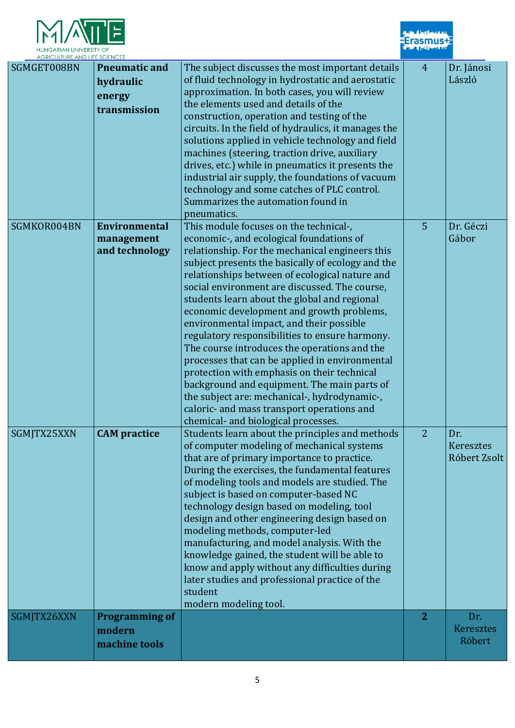

| <b>HUNGARIAN UNIVERSILY OF</b><br><b>AGRICULTURE AND LIFE SCIENCES</b> |                                                             |                                                                                                                                                                                                                                                                                                                                                                                                                                                                                                                                                                                                                                                                                                                                                                                                                               | <b>The Contract of the Contract of the Contract of the Contract of the Contract of the Contract of the Contract of the Contract of the Contract of the Contract of the Contract of the Contract of the Contract of the Contract </b> |                                         |
|------------------------------------------------------------------------|-------------------------------------------------------------|-------------------------------------------------------------------------------------------------------------------------------------------------------------------------------------------------------------------------------------------------------------------------------------------------------------------------------------------------------------------------------------------------------------------------------------------------------------------------------------------------------------------------------------------------------------------------------------------------------------------------------------------------------------------------------------------------------------------------------------------------------------------------------------------------------------------------------|--------------------------------------------------------------------------------------------------------------------------------------------------------------------------------------------------------------------------------------|-----------------------------------------|
| SGMGET008BN                                                            | <b>Pneumatic and</b><br>hydraulic<br>energy<br>transmission | The subject discusses the most important details<br>of fluid technology in hydrostatic and aerostatic<br>approximation. In both cases, you will review<br>the elements used and details of the<br>construction, operation and testing of the<br>circuits. In the field of hydraulics, it manages the<br>solutions applied in vehicle technology and field<br>machines (steering, traction drive, auxiliary<br>drives, etc.) while in pneumatics it presents the<br>industrial air supply, the foundations of vacuum<br>technology and some catches of PLC control.<br>Summarizes the automation found in<br>pneumatics.                                                                                                                                                                                                       | $\overline{4}$                                                                                                                                                                                                                       | Dr. Jánosi<br>László                    |
| SGMKOR004BN                                                            | <b>Environmental</b><br>management<br>and technology        | This module focuses on the technical-,<br>economic-, and ecological foundations of<br>relationship. For the mechanical engineers this<br>subject presents the basically of ecology and the<br>relationships between of ecological nature and<br>social environment are discussed. The course,<br>students learn about the global and regional<br>economic development and growth problems,<br>environmental impact, and their possible<br>regulatory responsibilities to ensure harmony.<br>The course introduces the operations and the<br>processes that can be applied in environmental<br>protection with emphasis on their technical<br>background and equipment. The main parts of<br>the subject are: mechanical-, hydrodynamic-,<br>caloric- and mass transport operations and<br>chemical- and biological processes. | 5                                                                                                                                                                                                                                    | Dr. Géczi<br>Gábor                      |
| SGMJTX25XXN                                                            | <b>CAM</b> practice                                         | Students learn about the principles and methods<br>of computer modeling of mechanical systems<br>that are of primary importance to practice.<br>During the exercises, the fundamental features<br>of modeling tools and models are studied. The<br>subject is based on computer-based NC<br>technology design based on modeling, tool<br>design and other engineering design based on<br>modeling methods, computer-led<br>manufacturing, and model analysis. With the<br>knowledge gained, the student will be able to<br>know and apply without any difficulties during<br>later studies and professional practice of the<br>student<br>modern modeling tool.                                                                                                                                                               | $\overline{2}$                                                                                                                                                                                                                       | Dr.<br><b>Keresztes</b><br>Róbert Zsolt |
| SGMJTX26XXN                                                            | <b>Programming of</b><br>modern<br>machine tools            |                                                                                                                                                                                                                                                                                                                                                                                                                                                                                                                                                                                                                                                                                                                                                                                                                               | $\overline{2}$                                                                                                                                                                                                                       | Dr.<br>Keresztes<br>Róbert              |

**Erasmus#**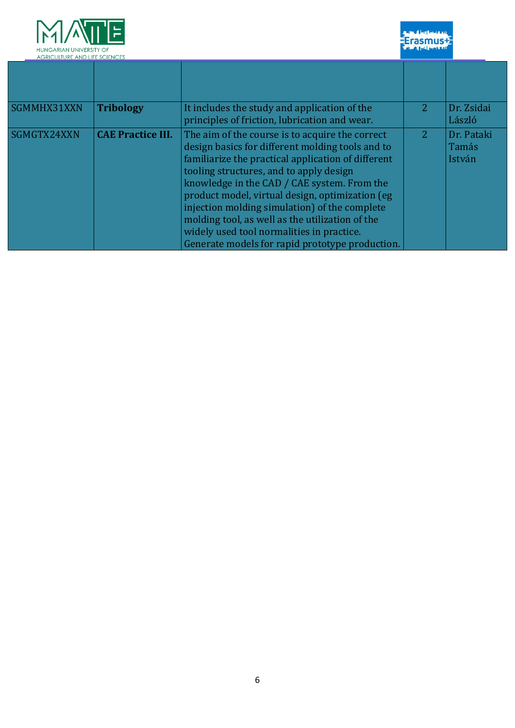

**Economy** 

| <b>AGRICULTURE AND LIFE SCIENCES</b> |                          |                                                                                                                                                                                                                                                                                                                                                                                                                                                                                                            |   |                               |
|--------------------------------------|--------------------------|------------------------------------------------------------------------------------------------------------------------------------------------------------------------------------------------------------------------------------------------------------------------------------------------------------------------------------------------------------------------------------------------------------------------------------------------------------------------------------------------------------|---|-------------------------------|
|                                      |                          |                                                                                                                                                                                                                                                                                                                                                                                                                                                                                                            |   |                               |
| SGMMHX31XXN                          | <b>Tribology</b>         | It includes the study and application of the<br>principles of friction, lubrication and wear.                                                                                                                                                                                                                                                                                                                                                                                                              | 2 | Dr. Zsidai<br>László          |
| SGMGTX24XXN                          | <b>CAE Practice III.</b> | The aim of the course is to acquire the correct<br>design basics for different molding tools and to<br>familiarize the practical application of different<br>tooling structures, and to apply design<br>knowledge in the CAD / CAE system. From the<br>product model, virtual design, optimization (eg<br>injection molding simulation) of the complete<br>molding tool, as well as the utilization of the<br>widely used tool normalities in practice.<br>Generate models for rapid prototype production. | 2 | Dr. Pataki<br>Tamás<br>István |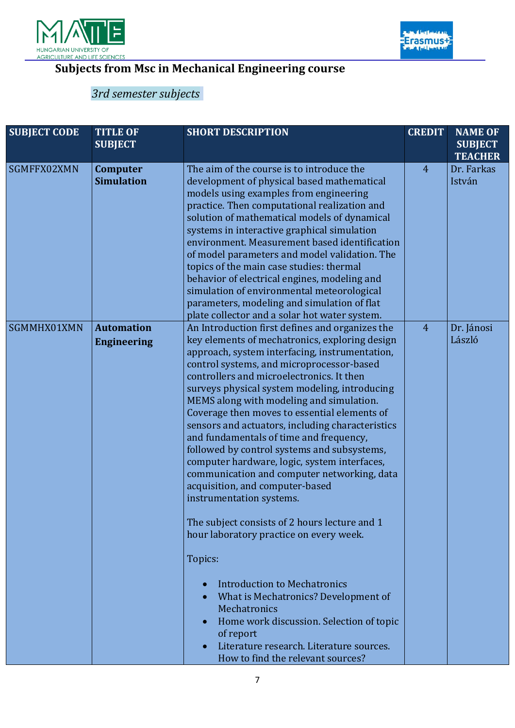



 $\overline{a}$ 

## **Subjects from Msc in Mechanical Engineering course**

## *3rd semester subjects*

| <b>SUBJECT CODE</b> | <b>TITLE OF</b><br><b>SUBJECT</b>       | <b>SHORT DESCRIPTION</b>                                                                                                                                                                                                                                                                                                                                                                                                                                                                                                                                                                                                                                                                                                                                                                                                                                                                                                                                                                                                                                      | <b>CREDIT</b>  | <b>NAME OF</b><br><b>SUBJECT</b><br><b>TEACHER</b> |
|---------------------|-----------------------------------------|---------------------------------------------------------------------------------------------------------------------------------------------------------------------------------------------------------------------------------------------------------------------------------------------------------------------------------------------------------------------------------------------------------------------------------------------------------------------------------------------------------------------------------------------------------------------------------------------------------------------------------------------------------------------------------------------------------------------------------------------------------------------------------------------------------------------------------------------------------------------------------------------------------------------------------------------------------------------------------------------------------------------------------------------------------------|----------------|----------------------------------------------------|
| SGMFFX02XMN         | Computer<br><b>Simulation</b>           | The aim of the course is to introduce the<br>development of physical based mathematical<br>models using examples from engineering<br>practice. Then computational realization and<br>solution of mathematical models of dynamical<br>systems in interactive graphical simulation<br>environment. Measurement based identification<br>of model parameters and model validation. The<br>topics of the main case studies: thermal<br>behavior of electrical engines, modeling and<br>simulation of environmental meteorological<br>parameters, modeling and simulation of flat<br>plate collector and a solar hot water system.                                                                                                                                                                                                                                                                                                                                                                                                                                  | $\overline{4}$ | Dr. Farkas<br>István                               |
| SGMMHX01XMN         | <b>Automation</b><br><b>Engineering</b> | An Introduction first defines and organizes the<br>key elements of mechatronics, exploring design<br>approach, system interfacing, instrumentation,<br>control systems, and microprocessor-based<br>controllers and microelectronics. It then<br>surveys physical system modeling, introducing<br>MEMS along with modeling and simulation.<br>Coverage then moves to essential elements of<br>sensors and actuators, including characteristics<br>and fundamentals of time and frequency,<br>followed by control systems and subsystems,<br>computer hardware, logic, system interfaces,<br>communication and computer networking, data<br>acquisition, and computer-based<br>instrumentation systems.<br>The subject consists of 2 hours lecture and 1<br>hour laboratory practice on every week.<br>Topics:<br><b>Introduction to Mechatronics</b><br>What is Mechatronics? Development of<br><b>Mechatronics</b><br>Home work discussion. Selection of topic<br>of report<br>Literature research. Literature sources.<br>How to find the relevant sources? | $\overline{4}$ | Dr. Jánosi<br>László                               |